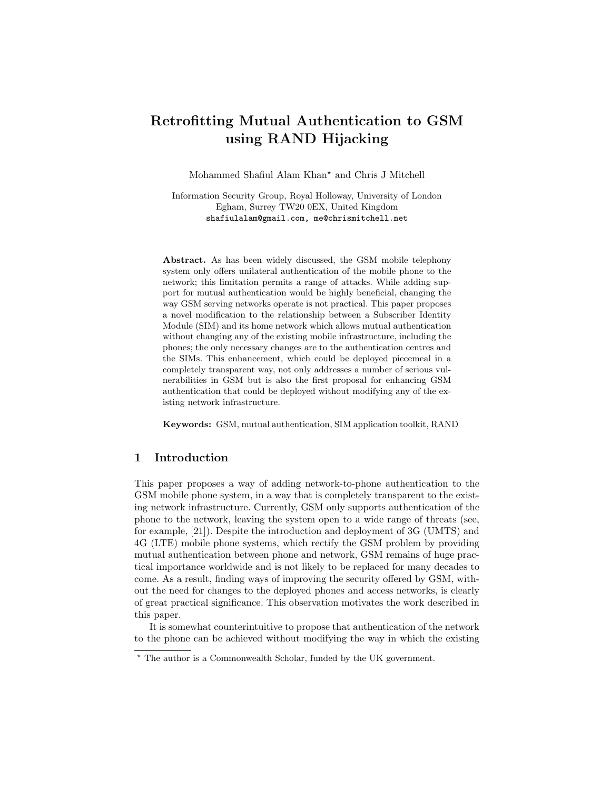# Retrofitting Mutual Authentication to GSM using RAND Hijacking

Mohammed Shafiul Alam Khan? and Chris J Mitchell

Information Security Group, Royal Holloway, University of London Egham, Surrey TW20 0EX, United Kingdom shafiulalam@gmail.com, me@chrismitchell.net

Abstract. As has been widely discussed, the GSM mobile telephony system only offers unilateral authentication of the mobile phone to the network; this limitation permits a range of attacks. While adding support for mutual authentication would be highly beneficial, changing the way GSM serving networks operate is not practical. This paper proposes a novel modification to the relationship between a Subscriber Identity Module (SIM) and its home network which allows mutual authentication without changing any of the existing mobile infrastructure, including the phones; the only necessary changes are to the authentication centres and the SIMs. This enhancement, which could be deployed piecemeal in a completely transparent way, not only addresses a number of serious vulnerabilities in GSM but is also the first proposal for enhancing GSM authentication that could be deployed without modifying any of the existing network infrastructure.

Keywords: GSM, mutual authentication, SIM application toolkit, RAND

# 1 Introduction

This paper proposes a way of adding network-to-phone authentication to the GSM mobile phone system, in a way that is completely transparent to the existing network infrastructure. Currently, GSM only supports authentication of the phone to the network, leaving the system open to a wide range of threats (see, for example, [21]). Despite the introduction and deployment of 3G (UMTS) and 4G (LTE) mobile phone systems, which rectify the GSM problem by providing mutual authentication between phone and network, GSM remains of huge practical importance worldwide and is not likely to be replaced for many decades to come. As a result, finding ways of improving the security offered by GSM, without the need for changes to the deployed phones and access networks, is clearly of great practical significance. This observation motivates the work described in this paper.

It is somewhat counterintuitive to propose that authentication of the network to the phone can be achieved without modifying the way in which the existing

<sup>?</sup> The author is a Commonwealth Scholar, funded by the UK government.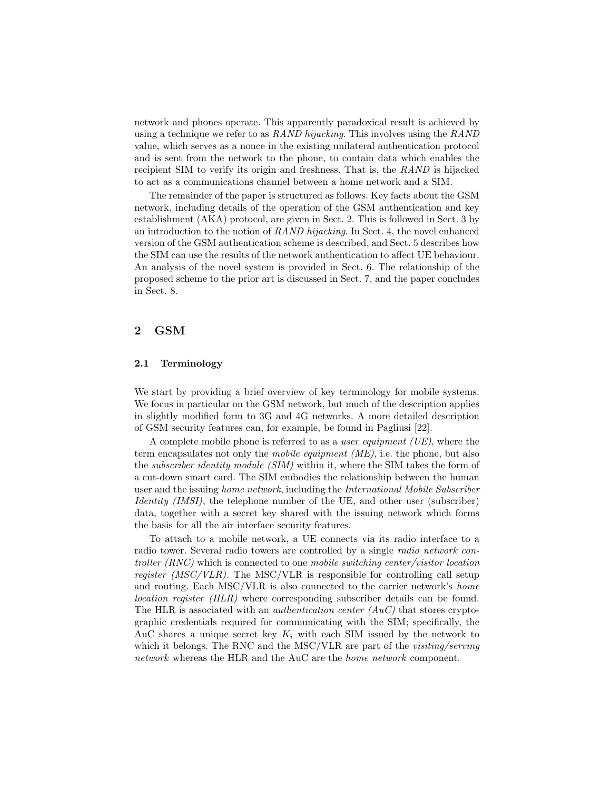network and phones operate. This apparently paradoxical result is achieved by using a technique we refer to as RAND hijacking. This involves using the RAND value, which serves as a nonce in the existing unilateral authentication protocol and is sent from the network to the phone, to contain data which enables the recipient SIM to verify its origin and freshness. That is, the RAND is hijacked to act as a communications channel between a home network and a SIM.

The remainder of the paper is structured as follows. Key facts about the GSM network, including details of the operation of the GSM authentication and key establishment (AKA) protocol, are given in Sect. 2. This is followed in Sect. 3 by an introduction to the notion of RAND hijacking. In Sect. 4, the novel enhanced version of the GSM authentication scheme is described, and Sect. 5 describes how the SIM can use the results of the network authentication to affect UE behaviour. An analysis of the novel system is provided in Sect. 6. The relationship of the proposed scheme to the prior art is discussed in Sect. 7, and the paper concludes in Sect. 8.

# 2 GSM

### 2.1 Terminology

We start by providing a brief overview of key terminology for mobile systems. We focus in particular on the GSM network, but much of the description applies in slightly modified form to 3G and 4G networks. A more detailed description of GSM security features can, for example, be found in Pagliusi [22].

A complete mobile phone is referred to as a *user equipment (UE)*, where the term encapsulates not only the mobile equipment (ME), i.e. the phone, but also the subscriber identity module (SIM) within it, where the SIM takes the form of a cut-down smart card. The SIM embodies the relationship between the human user and the issuing home network, including the International Mobile Subscriber Identity *(IMSI)*, the telephone number of the UE, and other user *(subscriber)* data, together with a secret key shared with the issuing network which forms the basis for all the air interface security features.

To attach to a mobile network, a UE connects via its radio interface to a radio tower. Several radio towers are controlled by a single radio network controller (RNC) which is connected to one mobile switching center/visitor location register (MSC/VLR). The MSC/VLR is responsible for controlling call setup and routing. Each MSC/VLR is also connected to the carrier network's home location register (HLR) where corresponding subscriber details can be found. The HLR is associated with an *authentication center (AuC)* that stores cryptographic credentials required for communicating with the SIM; specifically, the AuC shares a unique secret key  $K_i$  with each SIM issued by the network to which it belongs. The RNC and the MSC/VLR are part of the *visiting/serving* network whereas the HLR and the AuC are the home network component.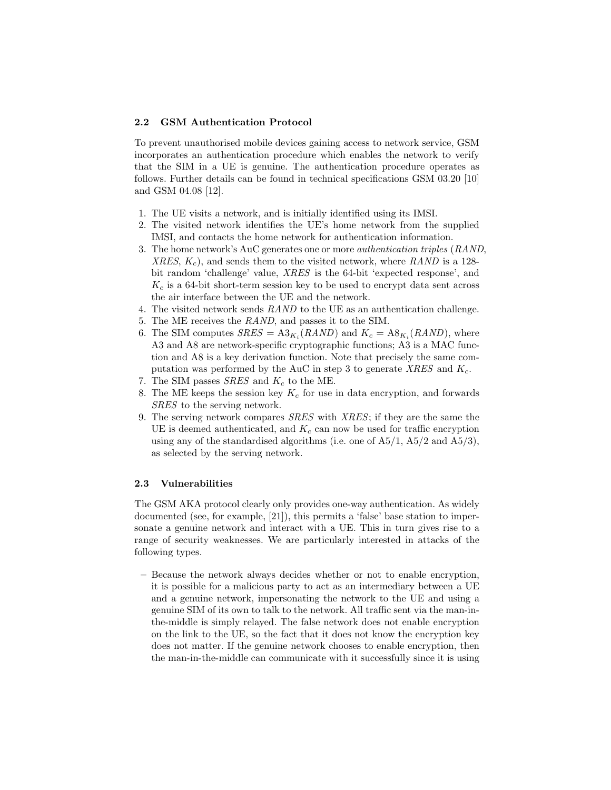### 2.2 GSM Authentication Protocol

To prevent unauthorised mobile devices gaining access to network service, GSM incorporates an authentication procedure which enables the network to verify that the SIM in a UE is genuine. The authentication procedure operates as follows. Further details can be found in technical specifications GSM 03.20 [10] and GSM 04.08 [12].

- 1. The UE visits a network, and is initially identified using its IMSI.
- 2. The visited network identifies the UE's home network from the supplied IMSI, and contacts the home network for authentication information.
- 3. The home network's AuC generates one or more *authentication triples* (*RAND*, XRES,  $K_c$ ), and sends them to the visited network, where RAND is a 128bit random 'challenge' value, XRES is the 64-bit 'expected response', and  $K_c$  is a 64-bit short-term session key to be used to encrypt data sent across the air interface between the UE and the network.
- 4. The visited network sends RAND to the UE as an authentication challenge.
- 5. The ME receives the RAND, and passes it to the SIM.
- 6. The SIM computes  $SRES = A3_{K_i}(RAND)$  and  $K_c = A8_{K_i}(RAND)$ , where A3 and A8 are network-specific cryptographic functions; A3 is a MAC function and A8 is a key derivation function. Note that precisely the same computation was performed by the AuC in step 3 to generate  $XRES$  and  $K_c$ .
- 7. The SIM passes *SRES* and  $K_c$  to the ME.
- 8. The ME keeps the session key  $K_c$  for use in data encryption, and forwards SRES to the serving network.
- 9. The serving network compares SRES with XRES; if they are the same the UE is deemed authenticated, and  $K_c$  can now be used for traffic encryption using any of the standardised algorithms (i.e. one of  $A5/1$ ,  $A5/2$  and  $A5/3$ ), as selected by the serving network.

### 2.3 Vulnerabilities

The GSM AKA protocol clearly only provides one-way authentication. As widely documented (see, for example, [21]), this permits a 'false' base station to impersonate a genuine network and interact with a UE. This in turn gives rise to a range of security weaknesses. We are particularly interested in attacks of the following types.

– Because the network always decides whether or not to enable encryption, it is possible for a malicious party to act as an intermediary between a UE and a genuine network, impersonating the network to the UE and using a genuine SIM of its own to talk to the network. All traffic sent via the man-inthe-middle is simply relayed. The false network does not enable encryption on the link to the UE, so the fact that it does not know the encryption key does not matter. If the genuine network chooses to enable encryption, then the man-in-the-middle can communicate with it successfully since it is using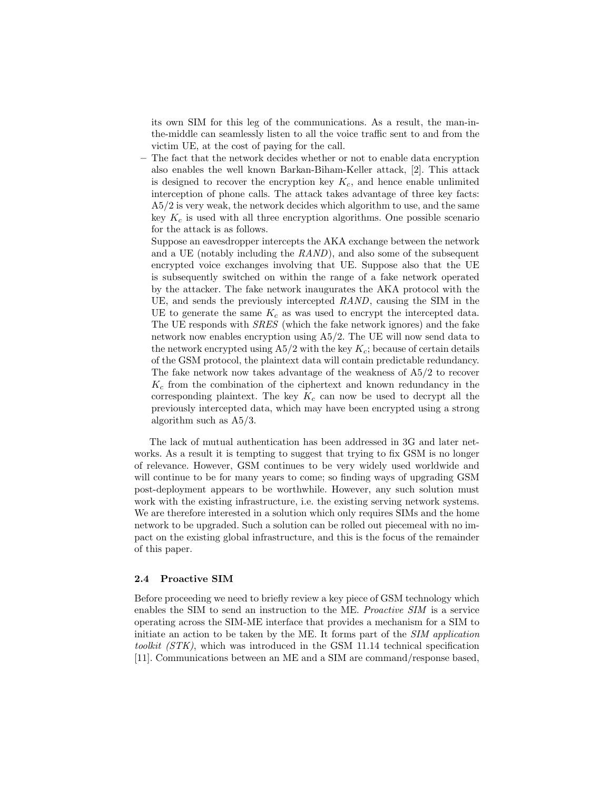its own SIM for this leg of the communications. As a result, the man-inthe-middle can seamlessly listen to all the voice traffic sent to and from the victim UE, at the cost of paying for the call.

- The fact that the network decides whether or not to enable data encryption also enables the well known Barkan-Biham-Keller attack, [2]. This attack is designed to recover the encryption key  $K_c$ , and hence enable unlimited interception of phone calls. The attack takes advantage of three key facts: A5/2 is very weak, the network decides which algorithm to use, and the same key  $K_c$  is used with all three encryption algorithms. One possible scenario for the attack is as follows.
- Suppose an eavesdropper intercepts the AKA exchange between the network and a UE (notably including the  $RAND$ ), and also some of the subsequent encrypted voice exchanges involving that UE. Suppose also that the UE is subsequently switched on within the range of a fake network operated by the attacker. The fake network inaugurates the AKA protocol with the UE, and sends the previously intercepted RAND, causing the SIM in the UE to generate the same  $K_c$  as was used to encrypt the intercepted data. The UE responds with SRES (which the fake network ignores) and the fake network now enables encryption using A5/2. The UE will now send data to the network encrypted using  $A5/2$  with the key  $K_c$ ; because of certain details of the GSM protocol, the plaintext data will contain predictable redundancy. The fake network now takes advantage of the weakness of A5/2 to recover  $K_c$  from the combination of the ciphertext and known redundancy in the corresponding plaintext. The key  $K_c$  can now be used to decrypt all the previously intercepted data, which may have been encrypted using a strong algorithm such as A5/3.

The lack of mutual authentication has been addressed in 3G and later networks. As a result it is tempting to suggest that trying to fix GSM is no longer of relevance. However, GSM continues to be very widely used worldwide and will continue to be for many years to come; so finding ways of upgrading GSM post-deployment appears to be worthwhile. However, any such solution must work with the existing infrastructure, i.e. the existing serving network systems. We are therefore interested in a solution which only requires SIMs and the home network to be upgraded. Such a solution can be rolled out piecemeal with no impact on the existing global infrastructure, and this is the focus of the remainder of this paper.

### 2.4 Proactive SIM

Before proceeding we need to briefly review a key piece of GSM technology which enables the SIM to send an instruction to the ME. *Proactive SIM* is a service operating across the SIM-ME interface that provides a mechanism for a SIM to initiate an action to be taken by the ME. It forms part of the SIM application toolkit (STK), which was introduced in the GSM 11.14 technical specification [11]. Communications between an ME and a SIM are command/response based,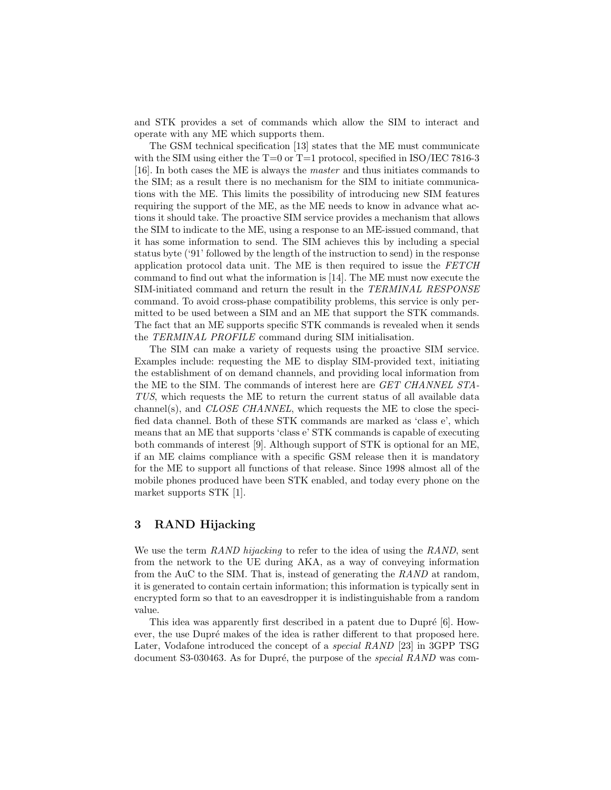and STK provides a set of commands which allow the SIM to interact and operate with any ME which supports them.

The GSM technical specification [13] states that the ME must communicate with the SIM using either the  $T=0$  or  $T=1$  protocol, specified in ISO/IEC 7816-3 [16]. In both cases the ME is always the master and thus initiates commands to the SIM; as a result there is no mechanism for the SIM to initiate communications with the ME. This limits the possibility of introducing new SIM features requiring the support of the ME, as the ME needs to know in advance what actions it should take. The proactive SIM service provides a mechanism that allows the SIM to indicate to the ME, using a response to an ME-issued command, that it has some information to send. The SIM achieves this by including a special status byte ('91' followed by the length of the instruction to send) in the response application protocol data unit. The ME is then required to issue the FETCH command to find out what the information is [14]. The ME must now execute the SIM-initiated command and return the result in the TERMINAL RESPONSE command. To avoid cross-phase compatibility problems, this service is only permitted to be used between a SIM and an ME that support the STK commands. The fact that an ME supports specific STK commands is revealed when it sends the TERMINAL PROFILE command during SIM initialisation.

The SIM can make a variety of requests using the proactive SIM service. Examples include: requesting the ME to display SIM-provided text, initiating the establishment of on demand channels, and providing local information from the ME to the SIM. The commands of interest here are GET CHANNEL STA-TUS, which requests the ME to return the current status of all available data channel(s), and CLOSE CHANNEL, which requests the ME to close the specified data channel. Both of these STK commands are marked as 'class e', which means that an ME that supports 'class e' STK commands is capable of executing both commands of interest [9]. Although support of STK is optional for an ME, if an ME claims compliance with a specific GSM release then it is mandatory for the ME to support all functions of that release. Since 1998 almost all of the mobile phones produced have been STK enabled, and today every phone on the market supports STK [1].

# 3 RAND Hijacking

We use the term RAND hijacking to refer to the idea of using the RAND, sent from the network to the UE during AKA, as a way of conveying information from the AuC to the SIM. That is, instead of generating the RAND at random, it is generated to contain certain information; this information is typically sent in encrypted form so that to an eavesdropper it is indistinguishable from a random value.

This idea was apparently first described in a patent due to Dupré [6]. However, the use Dupré makes of the idea is rather different to that proposed here. Later, Vodafone introduced the concept of a special RAND [23] in 3GPP TSG document S3-030463. As for Dupré, the purpose of the *special RAND* was com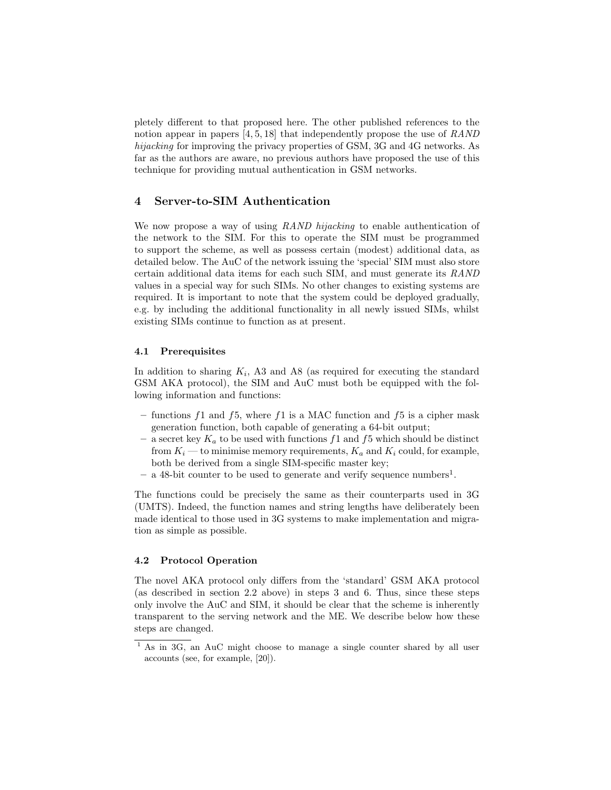pletely different to that proposed here. The other published references to the notion appear in papers [4, 5, 18] that independently propose the use of RAND hijacking for improving the privacy properties of GSM, 3G and 4G networks. As far as the authors are aware, no previous authors have proposed the use of this technique for providing mutual authentication in GSM networks.

### 4 Server-to-SIM Authentication

We now propose a way of using RAND hijacking to enable authentication of the network to the SIM. For this to operate the SIM must be programmed to support the scheme, as well as possess certain (modest) additional data, as detailed below. The AuC of the network issuing the 'special' SIM must also store certain additional data items for each such SIM, and must generate its RAND values in a special way for such SIMs. No other changes to existing systems are required. It is important to note that the system could be deployed gradually, e.g. by including the additional functionality in all newly issued SIMs, whilst existing SIMs continue to function as at present.

### 4.1 Prerequisites

In addition to sharing  $K_i$ , A3 and A8 (as required for executing the standard GSM AKA protocol), the SIM and AuC must both be equipped with the following information and functions:

- functions  $f_1$  and  $f_5$ , where  $f_1$  is a MAC function and  $f_5$  is a cipher mask generation function, both capable of generating a 64-bit output;
- a secret key  $K_a$  to be used with functions  $f_1$  and  $f_2$  which should be distinct from  $K_i$  — to minimise memory requirements,  $K_a$  and  $K_i$  could, for example, both be derived from a single SIM-specific master key;
- $-$  a 48-bit counter to be used to generate and verify sequence numbers<sup>1</sup>.

The functions could be precisely the same as their counterparts used in 3G (UMTS). Indeed, the function names and string lengths have deliberately been made identical to those used in 3G systems to make implementation and migration as simple as possible.

### 4.2 Protocol Operation

The novel AKA protocol only differs from the 'standard' GSM AKA protocol (as described in section 2.2 above) in steps 3 and 6. Thus, since these steps only involve the AuC and SIM, it should be clear that the scheme is inherently transparent to the serving network and the ME. We describe below how these steps are changed.

<sup>1</sup> As in 3G, an AuC might choose to manage a single counter shared by all user accounts (see, for example, [20]).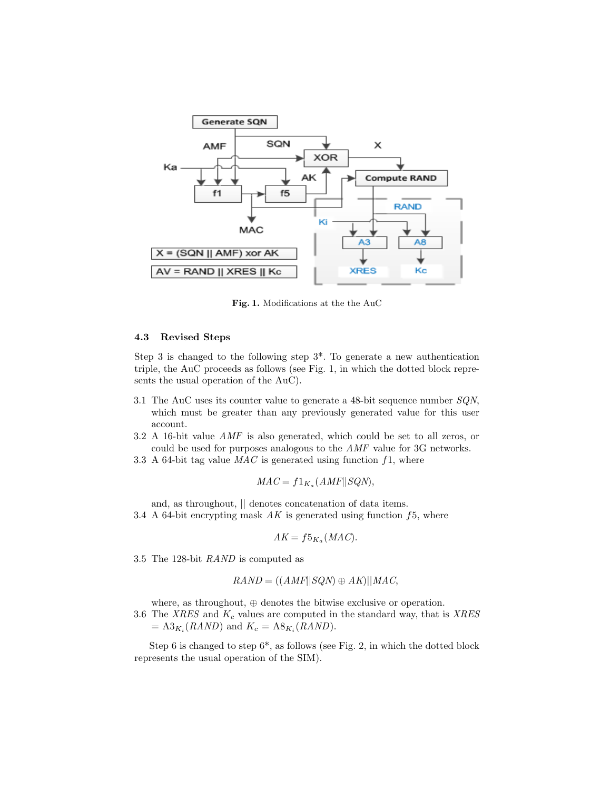

Fig. 1. Modifications at the the AuC

### 4.3 Revised Steps

Step 3 is changed to the following step  $3^*$ . To generate a new authentication triple, the AuC proceeds as follows (see Fig. 1, in which the dotted block represents the usual operation of the AuC).

- 3.1 The AuC uses its counter value to generate a 48-bit sequence number  $SQN$ , which must be greater than any previously generated value for this user account.
- 3.2 A 16-bit value AMF is also generated, which could be set to all zeros, or could be used for purposes analogous to the AMF value for 3G networks.
- 3.3 A 64-bit tag value  $MAC$  is generated using function  $f1$ , where

$$
MAC = f1_{K_a}(AMF||SQN),
$$

and, as throughout, || denotes concatenation of data items.

3.4 A 64-bit encrypting mask  $AK$  is generated using function  $f5$ , where

$$
AK = f5_{K_a}(MAC).
$$

3.5 The 128-bit RAND is computed as

$$
RAND = ((AMF||SQN) \oplus AK)||MAC,
$$

where, as throughout, ⊕ denotes the bitwise exclusive or operation.

3.6 The XRES and  $K_c$  values are computed in the standard way, that is XRES  $= A3_{K_i}(RAND)$  and  $K_c = A8_{K_i}(RAND)$ .

Step 6 is changed to step  $6^*$ , as follows (see Fig. 2, in which the dotted block represents the usual operation of the SIM).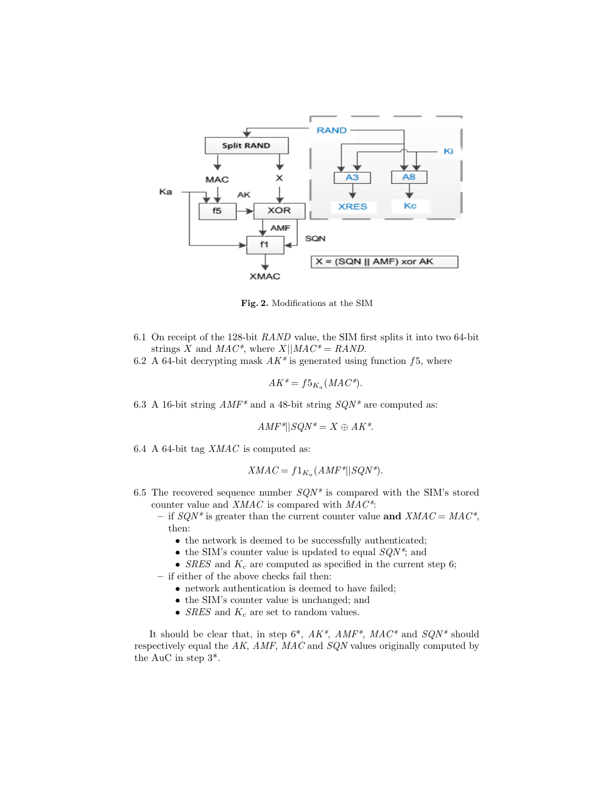

Fig. 2. Modifications at the SIM

- 6.1 On receipt of the 128-bit RAND value, the SIM first splits it into two 64-bit strings X and  $MAC^*$ , where  $X||MAC^* = RAND$ .
- 6.2 A 64-bit decrypting mask  $AK^*$  is generated using function  $f5$ , where

$$
AK^* = f5_{K_a}(MAC^*).
$$

6.3 A 16-bit string  $AMF^*$  and a 48-bit string  $SQN^*$  are computed as:

$$
AMF^*||SQN^* = X \oplus AK^*.
$$

6.4 A 64-bit tag XMAC is computed as:

$$
XMAC = f1_{K_a}(AMF^*||SQN^*).
$$

6.5 The recovered sequence number  $SQN^*$  is compared with the SIM's stored counter value and  $XMAC$  is compared with  $MAC^*$ :

– if  $SQN^*$  is greater than the current counter value and  $XMAC = MAC^*$ , then:

- the network is deemed to be successfully authenticated;
- the SIM's counter value is updated to equal  $SQN^*$ ; and
- $SRES$  and  $K_c$  are computed as specified in the current step 6;

– if either of the above checks fail then:

- network authentication is deemed to have failed;
- the SIM's counter value is unchanged; and
- $SRES$  and  $K_c$  are set to random values.

It should be clear that, in step 6<sup>\*</sup>,  $AK^*$ ,  $AMF^*$ ,  $MAC^*$  and  $SQN^*$  should respectively equal the  $AK$ ,  $AMF$ ,  $MAC$  and  $SQN$  values originally computed by the AuC in step 3\*.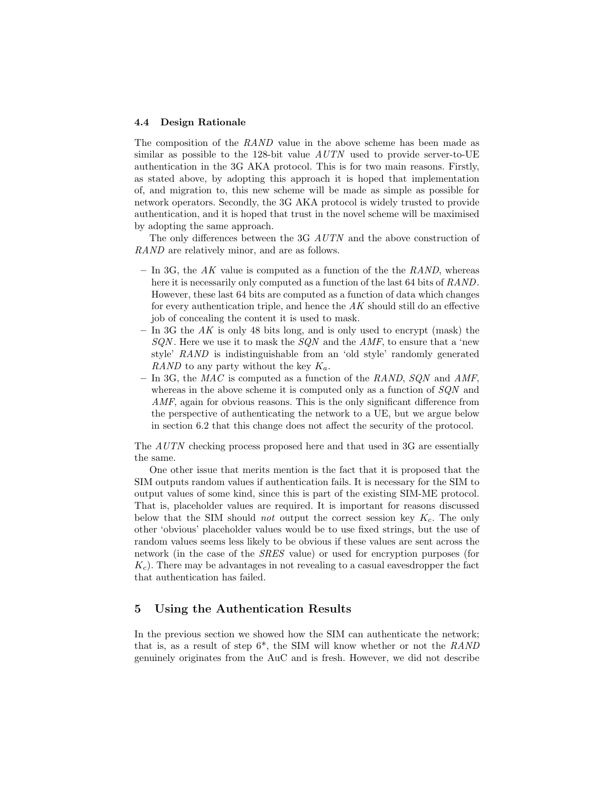#### 4.4 Design Rationale

The composition of the RAND value in the above scheme has been made as similar as possible to the 128-bit value AUTN used to provide server-to-UE authentication in the 3G AKA protocol. This is for two main reasons. Firstly, as stated above, by adopting this approach it is hoped that implementation of, and migration to, this new scheme will be made as simple as possible for network operators. Secondly, the 3G AKA protocol is widely trusted to provide authentication, and it is hoped that trust in the novel scheme will be maximised by adopting the same approach.

The only differences between the 3G AUTN and the above construction of RAND are relatively minor, and are as follows.

- In 3G, the AK value is computed as a function of the the RAND, whereas here it is necessarily only computed as a function of the last 64 bits of RAND. However, these last 64 bits are computed as a function of data which changes for every authentication triple, and hence the  $AK$  should still do an effective job of concealing the content it is used to mask.
- $-$  In 3G the AK is only 48 bits long, and is only used to encrypt (mask) the  $SQN$ . Here we use it to mask the  $SQN$  and the  $AMF$ , to ensure that a 'new style' RAND is indistinguishable from an 'old style' randomly generated RAND to any party without the key  $K_a$ .
- In 3G, the  $MAC$  is computed as a function of the RAND, SQN and AMF, whereas in the above scheme it is computed only as a function of  $SQN$  and AMF, again for obvious reasons. This is the only significant difference from the perspective of authenticating the network to a UE, but we argue below in section 6.2 that this change does not affect the security of the protocol.

The AUTN checking process proposed here and that used in 3G are essentially the same.

One other issue that merits mention is the fact that it is proposed that the SIM outputs random values if authentication fails. It is necessary for the SIM to output values of some kind, since this is part of the existing SIM-ME protocol. That is, placeholder values are required. It is important for reasons discussed below that the SIM should *not* output the correct session key  $K_c$ . The only other 'obvious' placeholder values would be to use fixed strings, but the use of random values seems less likely to be obvious if these values are sent across the network (in the case of the SRES value) or used for encryption purposes (for  $K_c$ ). There may be advantages in not revealing to a casual eavesdropper the fact that authentication has failed.

# 5 Using the Authentication Results

In the previous section we showed how the SIM can authenticate the network; that is, as a result of step  $6^*$ , the SIM will know whether or not the RAND genuinely originates from the AuC and is fresh. However, we did not describe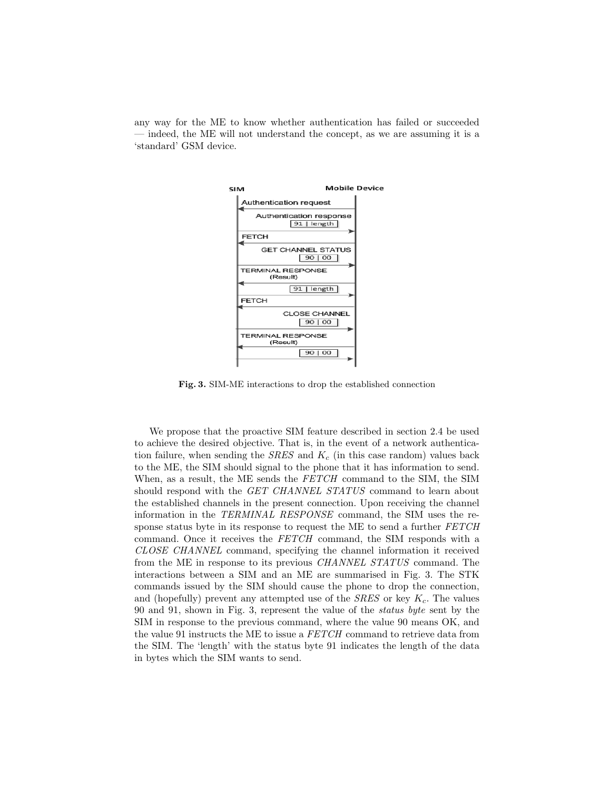any way for the ME to know whether authentication has failed or succeeded — indeed, the ME will not understand the concept, as we are assuming it is a 'standard' GSM device.



Fig. 3. SIM-ME interactions to drop the established connection

We propose that the proactive SIM feature described in section 2.4 be used to achieve the desired objective. That is, in the event of a network authentication failure, when sending the *SRES* and  $K_c$  (in this case random) values back to the ME, the SIM should signal to the phone that it has information to send. When, as a result, the ME sends the FETCH command to the SIM, the SIM should respond with the *GET CHANNEL STATUS* command to learn about the established channels in the present connection. Upon receiving the channel information in the TERMINAL RESPONSE command, the SIM uses the response status byte in its response to request the ME to send a further FETCH command. Once it receives the FETCH command, the SIM responds with a CLOSE CHANNEL command, specifying the channel information it received from the ME in response to its previous CHANNEL STATUS command. The interactions between a SIM and an ME are summarised in Fig. 3. The STK commands issued by the SIM should cause the phone to drop the connection, and (hopefully) prevent any attempted use of the  $SRES$  or key  $K_c$ . The values 90 and 91, shown in Fig. 3, represent the value of the status byte sent by the SIM in response to the previous command, where the value 90 means OK, and the value 91 instructs the ME to issue a FETCH command to retrieve data from the SIM. The 'length' with the status byte 91 indicates the length of the data in bytes which the SIM wants to send.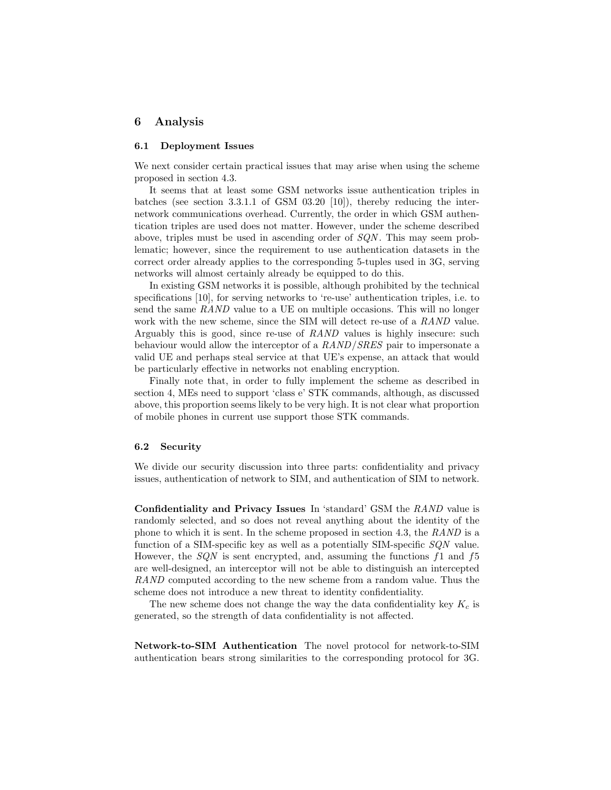## 6 Analysis

### 6.1 Deployment Issues

We next consider certain practical issues that may arise when using the scheme proposed in section 4.3.

It seems that at least some GSM networks issue authentication triples in batches (see section 3.3.1.1 of GSM 03.20 [10]), thereby reducing the internetwork communications overhead. Currently, the order in which GSM authentication triples are used does not matter. However, under the scheme described above, triples must be used in ascending order of SQN . This may seem problematic; however, since the requirement to use authentication datasets in the correct order already applies to the corresponding 5-tuples used in 3G, serving networks will almost certainly already be equipped to do this.

In existing GSM networks it is possible, although prohibited by the technical specifications [10], for serving networks to 're-use' authentication triples, i.e. to send the same RAND value to a UE on multiple occasions. This will no longer work with the new scheme, since the SIM will detect re-use of a RAND value. Arguably this is good, since re-use of RAND values is highly insecure: such behaviour would allow the interceptor of a RAND/SRES pair to impersonate a valid UE and perhaps steal service at that UE's expense, an attack that would be particularly effective in networks not enabling encryption.

Finally note that, in order to fully implement the scheme as described in section 4, MEs need to support 'class e' STK commands, although, as discussed above, this proportion seems likely to be very high. It is not clear what proportion of mobile phones in current use support those STK commands.

#### 6.2 Security

We divide our security discussion into three parts: confidentiality and privacy issues, authentication of network to SIM, and authentication of SIM to network.

Confidentiality and Privacy Issues In 'standard' GSM the RAND value is randomly selected, and so does not reveal anything about the identity of the phone to which it is sent. In the scheme proposed in section 4.3, the RAND is a function of a SIM-specific key as well as a potentially SIM-specific SQN value. However, the  $SQN$  is sent encrypted, and, assuming the functions  $f1$  and  $f5$ are well-designed, an interceptor will not be able to distinguish an intercepted RAND computed according to the new scheme from a random value. Thus the scheme does not introduce a new threat to identity confidentiality.

The new scheme does not change the way the data confidentiality key  $K_c$  is generated, so the strength of data confidentiality is not affected.

Network-to-SIM Authentication The novel protocol for network-to-SIM authentication bears strong similarities to the corresponding protocol for 3G.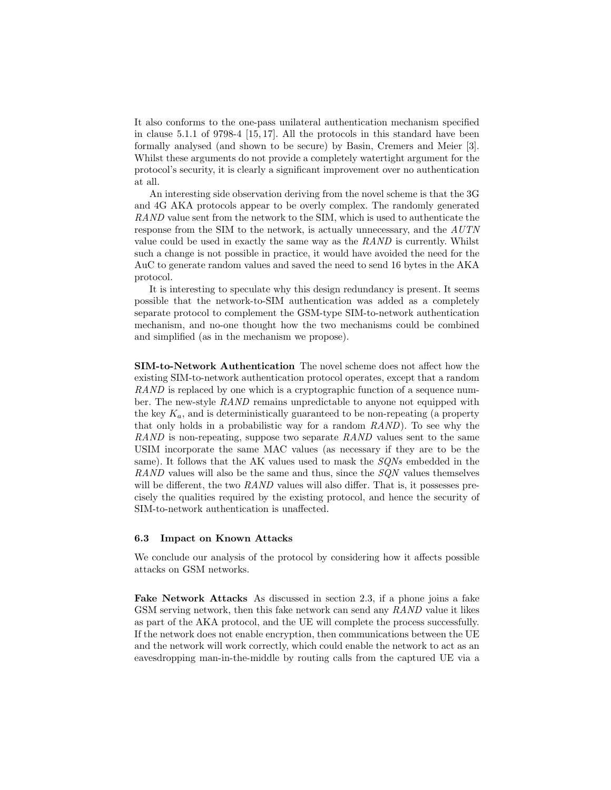It also conforms to the one-pass unilateral authentication mechanism specified in clause 5.1.1 of 9798-4 [15, 17]. All the protocols in this standard have been formally analysed (and shown to be secure) by Basin, Cremers and Meier [3]. Whilst these arguments do not provide a completely watertight argument for the protocol's security, it is clearly a significant improvement over no authentication at all.

An interesting side observation deriving from the novel scheme is that the 3G and 4G AKA protocols appear to be overly complex. The randomly generated RAND value sent from the network to the SIM, which is used to authenticate the response from the SIM to the network, is actually unnecessary, and the AUTN value could be used in exactly the same way as the RAND is currently. Whilst such a change is not possible in practice, it would have avoided the need for the AuC to generate random values and saved the need to send 16 bytes in the AKA protocol.

It is interesting to speculate why this design redundancy is present. It seems possible that the network-to-SIM authentication was added as a completely separate protocol to complement the GSM-type SIM-to-network authentication mechanism, and no-one thought how the two mechanisms could be combined and simplified (as in the mechanism we propose).

SIM-to-Network Authentication The novel scheme does not affect how the existing SIM-to-network authentication protocol operates, except that a random RAND is replaced by one which is a cryptographic function of a sequence number. The new-style RAND remains unpredictable to anyone not equipped with the key  $K_a$ , and is deterministically guaranteed to be non-repeating (a property that only holds in a probabilistic way for a random  $\mathbb{R}AND$ ). To see why the RAND is non-repeating, suppose two separate RAND values sent to the same USIM incorporate the same MAC values (as necessary if they are to be the same). It follows that the AK values used to mask the  $SQNs$  embedded in the RAND values will also be the same and thus, since the SQN values themselves will be different, the two RAND values will also differ. That is, it possesses precisely the qualities required by the existing protocol, and hence the security of SIM-to-network authentication is unaffected.

#### 6.3 Impact on Known Attacks

We conclude our analysis of the protocol by considering how it affects possible attacks on GSM networks.

Fake Network Attacks As discussed in section 2.3, if a phone joins a fake GSM serving network, then this fake network can send any *RAND* value it likes as part of the AKA protocol, and the UE will complete the process successfully. If the network does not enable encryption, then communications between the UE and the network will work correctly, which could enable the network to act as an eavesdropping man-in-the-middle by routing calls from the captured UE via a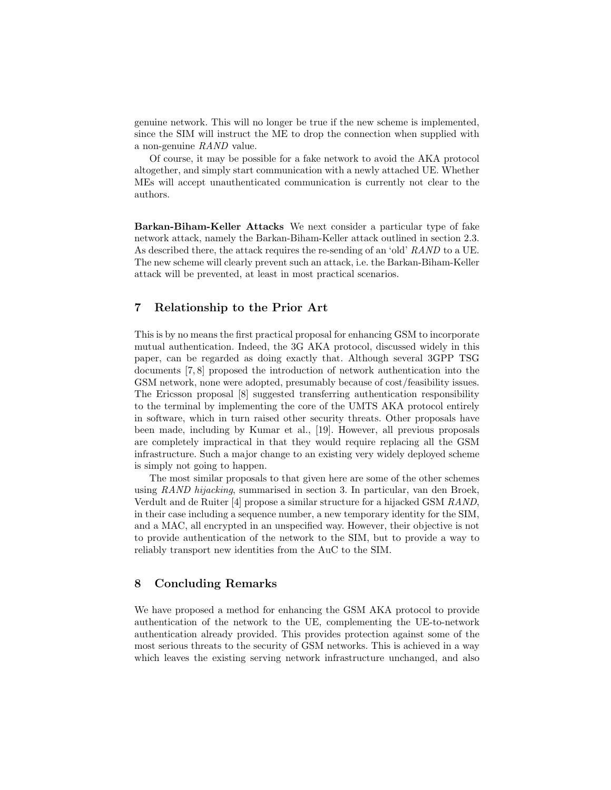genuine network. This will no longer be true if the new scheme is implemented, since the SIM will instruct the ME to drop the connection when supplied with a non-genuine RAND value.

Of course, it may be possible for a fake network to avoid the AKA protocol altogether, and simply start communication with a newly attached UE. Whether MEs will accept unauthenticated communication is currently not clear to the authors.

Barkan-Biham-Keller Attacks We next consider a particular type of fake network attack, namely the Barkan-Biham-Keller attack outlined in section 2.3. As described there, the attack requires the re-sending of an 'old' RAND to a UE. The new scheme will clearly prevent such an attack, i.e. the Barkan-Biham-Keller attack will be prevented, at least in most practical scenarios.

# 7 Relationship to the Prior Art

This is by no means the first practical proposal for enhancing GSM to incorporate mutual authentication. Indeed, the 3G AKA protocol, discussed widely in this paper, can be regarded as doing exactly that. Although several 3GPP TSG documents [7, 8] proposed the introduction of network authentication into the GSM network, none were adopted, presumably because of cost/feasibility issues. The Ericsson proposal [8] suggested transferring authentication responsibility to the terminal by implementing the core of the UMTS AKA protocol entirely in software, which in turn raised other security threats. Other proposals have been made, including by Kumar et al., [19]. However, all previous proposals are completely impractical in that they would require replacing all the GSM infrastructure. Such a major change to an existing very widely deployed scheme is simply not going to happen.

The most similar proposals to that given here are some of the other schemes using RAND hijacking, summarised in section 3. In particular, van den Broek, Verdult and de Ruiter [4] propose a similar structure for a hijacked GSM RAND, in their case including a sequence number, a new temporary identity for the SIM, and a MAC, all encrypted in an unspecified way. However, their objective is not to provide authentication of the network to the SIM, but to provide a way to reliably transport new identities from the AuC to the SIM.

# 8 Concluding Remarks

We have proposed a method for enhancing the GSM AKA protocol to provide authentication of the network to the UE, complementing the UE-to-network authentication already provided. This provides protection against some of the most serious threats to the security of GSM networks. This is achieved in a way which leaves the existing serving network infrastructure unchanged, and also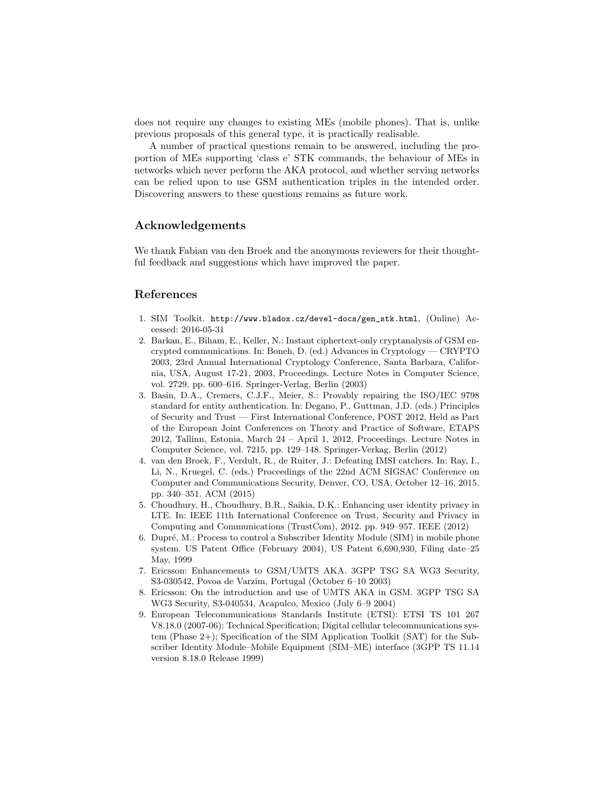does not require any changes to existing MEs (mobile phones). That is, unlike previous proposals of this general type, it is practically realisable.

A number of practical questions remain to be answered, including the proportion of MEs supporting 'class e' STK commands, the behaviour of MEs in networks which never perform the AKA protocol, and whether serving networks can be relied upon to use GSM authentication triples in the intended order. Discovering answers to these questions remains as future work.

# Acknowledgements

We thank Fabian van den Broek and the anonymous reviewers for their thoughtful feedback and suggestions which have improved the paper.

# References

- 1. SIM Toolkit. http://www.bladox.cz/devel-docs/gen\_stk.html, (Online) Accessed: 2016-05-31
- 2. Barkan, E., Biham, E., Keller, N.: Instant ciphertext-only cryptanalysis of GSM encrypted communications. In: Boneh, D. (ed.) Advances in Cryptology — CRYPTO 2003, 23rd Annual International Cryptology Conference, Santa Barbara, California, USA, August 17-21, 2003, Proceedings. Lecture Notes in Computer Science, vol. 2729, pp. 600–616. Springer-Verlag, Berlin (2003)
- 3. Basin, D.A., Cremers, C.J.F., Meier, S.: Provably repairing the ISO/IEC 9798 standard for entity authentication. In: Degano, P., Guttman, J.D. (eds.) Principles of Security and Trust — First International Conference, POST 2012, Held as Part of the European Joint Conferences on Theory and Practice of Software, ETAPS 2012, Tallinn, Estonia, March 24 – April 1, 2012, Proceedings. Lecture Notes in Computer Science, vol. 7215, pp. 129–148. Springer-Verkag, Berlin (2012)
- 4. van den Broek, F., Verdult, R., de Ruiter, J.: Defeating IMSI catchers. In: Ray, I., Li, N., Kruegel, C. (eds.) Proceedings of the 22nd ACM SIGSAC Conference on Computer and Communications Security, Denver, CO, USA, October 12–16, 2015. pp. 340–351. ACM (2015)
- 5. Choudhury, H., Choudhury, B.R., Saikia, D.K.: Enhancing user identity privacy in LTE. In: IEEE 11th International Conference on Trust, Security and Privacy in Computing and Communications (TrustCom), 2012. pp. 949–957. IEEE (2012)
- 6. Dupré, M.: Process to control a Subscriber Identity Module (SIM) in mobile phone system. US Patent Office (February 2004), US Patent 6,690,930, Filing date–25 May, 1999
- 7. Ericsson: Enhancements to GSM/UMTS AKA. 3GPP TSG SA WG3 Security, S3-030542, Povoa de Varzim, Portugal (October 6–10 2003)
- 8. Ericsson: On the introduction and use of UMTS AKA in GSM. 3GPP TSG SA WG3 Security, S3-040534, Acapulco, Mexico (July 6–9 2004)
- 9. European Telecommunications Standards Institute (ETSI): ETSI TS 101 267 V8.18.0 (2007-06): Technical Specification; Digital cellular telecommunications system (Phase 2+); Specification of the SIM Application Toolkit (SAT) for the Subscriber Identity Module–Mobile Equipment (SIM–ME) interface (3GPP TS 11.14 version 8.18.0 Release 1999)